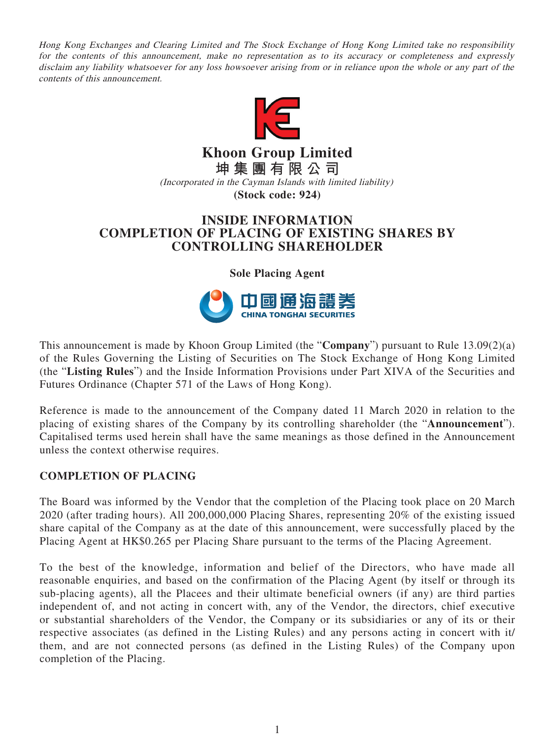Hong Kong Exchanges and Clearing Limited and The Stock Exchange of Hong Kong Limited take no responsibility for the contents of this announcement, make no representation as to its accuracy or completeness and expressly disclaim any liability whatsoever for any loss howsoever arising from or in reliance upon the whole or any part of the contents of this announcement.



**Khoon Group Limited 坤集團有限公司**

(Incorporated in the Cayman Islands with limited liability) **(Stock code: 924)**

## **INSIDE INFORMATION COMPLETION OF PLACING OF EXISTING SHARES BY CONTROLLING SHAREHOLDER**

**Sole Placing Agent**



This announcement is made by Khoon Group Limited (the "**Company**") pursuant to Rule 13.09(2)(a) of the Rules Governing the Listing of Securities on The Stock Exchange of Hong Kong Limited (the "**Listing Rules**") and the Inside Information Provisions under Part XIVA of the Securities and Futures Ordinance (Chapter 571 of the Laws of Hong Kong).

Reference is made to the announcement of the Company dated 11 March 2020 in relation to the placing of existing shares of the Company by its controlling shareholder (the "**Announcement**"). Capitalised terms used herein shall have the same meanings as those defined in the Announcement unless the context otherwise requires.

## **COMPLETION OF PLACING**

The Board was informed by the Vendor that the completion of the Placing took place on 20 March 2020 (after trading hours). All 200,000,000 Placing Shares, representing 20% of the existing issued share capital of the Company as at the date of this announcement, were successfully placed by the Placing Agent at HK\$0.265 per Placing Share pursuant to the terms of the Placing Agreement.

To the best of the knowledge, information and belief of the Directors, who have made all reasonable enquiries, and based on the confirmation of the Placing Agent (by itself or through its sub-placing agents), all the Placees and their ultimate beneficial owners (if any) are third parties independent of, and not acting in concert with, any of the Vendor, the directors, chief executive or substantial shareholders of the Vendor, the Company or its subsidiaries or any of its or their respective associates (as defined in the Listing Rules) and any persons acting in concert with it/ them, and are not connected persons (as defined in the Listing Rules) of the Company upon completion of the Placing.